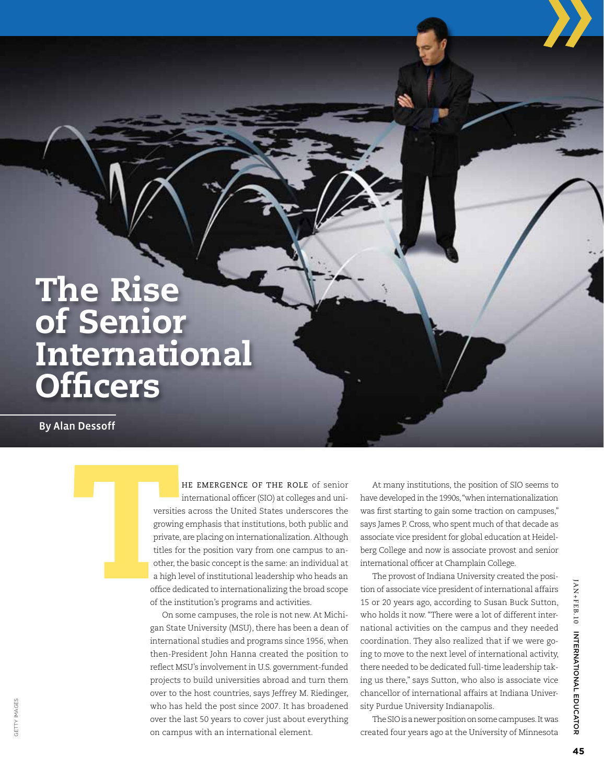## The Rise of Senior **International Officers**

By Alan Dessoff

Getty Images

he emergence of the role of senior international officer (SIO) at colleges and universities across the United States underscores the growing emphasis that institutions, both public and private, are placing on internationalization. Although titles for the position vary from one campus to another, the basic concept is the same: an individual at a high level of institutional leadership who heads an office dedicated to internationalizing the broad scope of the institution's programs and activities.

On some campuses, the role is not new. At Michigan State University (MSU), there has been a dean of international studies and programs since 1956, when then-President John Hanna created the position to reflect MSU's involvement in U.S. government-funded projects to build universities abroad and turn them over to the host countries, says Jeffrey M. Riedinger, who has held the post since 2007. It has broadened over the last 50 years to cover just about everything on campus with an international element.

At many institutions, the position of SIO seems to have developed in the 1990s, "when internationalization was first starting to gain some traction on campuses," says James P. Cross, who spent much of that decade as associate vice president for global education at Heidelberg College and now is associate provost and senior international officer at Champlain College.

The provost of Indiana University created the position of associate vice president of international affairs 15 or 20 years ago, according to Susan Buck Sutton, who holds it now. "There were a lot of different international activities on the campus and they needed coordination. They also realized that if we were going to move to the next level of international activity, there needed to be dedicated full-time leadership taking us there," says Sutton, who also is associate vice chancellor of international affairs at Indiana University Purdue University Indianapolis.

The SIO is a newer position on some campuses. It was created four years ago at the University of Minnesota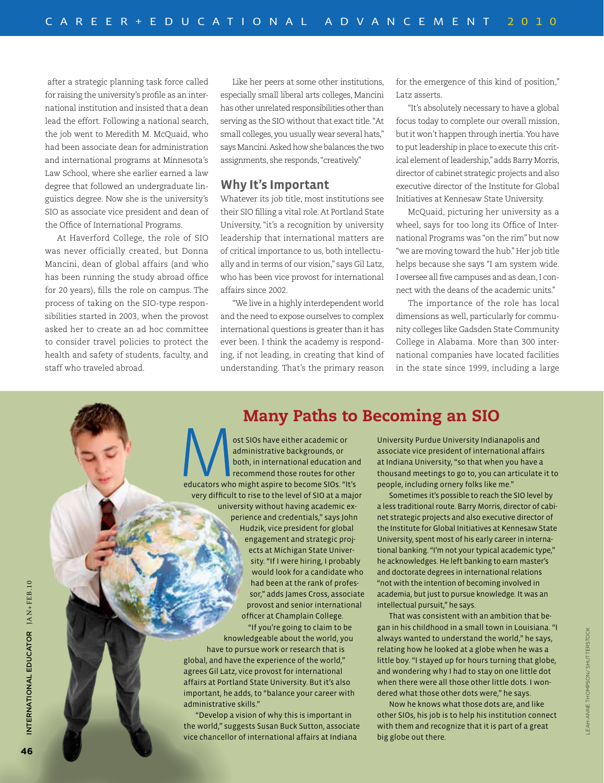after a strategic planning task force called for raising the university's profile as an international institution and insisted that a dean lead the effort. Following a national search, the job went to Meredith M. McQuaid, who had been associate dean for administration and international programs at Minnesota's Law School, where she earlier earned a law degree that followed an undergraduate linguistics degree. Now she is the university's SIO as associate vice president and dean of the Office of International Programs.

At Haverford College, the role of SIO was never officially created, but Donna Mancini, dean of global affairs (and who has been running the study abroad office for 20 years), fills the role on campus. The process of taking on the SIO-type responsibilities started in 2003, when the provost asked her to create an ad hoc committee to consider travel policies to protect the health and safety of students, faculty, and staff who traveled abroad.

Like her peers at some other institutions, especially small liberal arts colleges, Mancini has other unrelated responsibilities other than serving as the SIO without that exact title. "At small colleges, you usually wear several hats," says Mancini. Asked how she balances the two assignments, she responds, "creatively."

#### **Why It's Important**

Whatever its job title, most institutions see their SIO filling a vital role. At Portland State University, "it's a recognition by university leadership that international matters are of critical importance to us, both intellectually and in terms of our vision," says Gil Latz, who has been vice provost for international affairs since 2002.

"We live in a highly interdependent world and the need to expose ourselves to complex international questions is greater than it has ever been. I think the academy is responding, if not leading, in creating that kind of understanding. That's the primary reason for the emergence of this kind of position," Latz asserts.

"It's absolutely necessary to have a global focus today to complete our overall mission, but it won't happen through inertia. You have to put leadership in place to execute this critical element of leadership," adds Barry Morris, director of cabinet strategic projects and also executive director of the Institute for Global Initiatives at Kennesaw State University.

McQuaid, picturing her university as a wheel, says for too long its Office of International Programs was "on the rim" but now "we are moving toward the hub." Her job title helps because she says "I am system wide. I oversee all five campuses and as dean, I connect with the deans of the academic units."

The importance of the role has local dimensions as well, particularly for community colleges like Gadsden State Community College in Alabama. More than 300 international companies have located facilities in the state since 1999, including a large

### Many Paths to Becoming an SIO

ost SIOs have either academic or administrative backgrounds, or both, in international education and recommend those routes for other educators who might aspire to become SIOs. "It's very difficult to rise to the level of SIO at a major university without having academic experience and credentials," says John Hudzik, vice president for global engagement and strategic projects at Michigan State University. "If I were hiring, I probably would look for a candidate who had been at the rank of professor," adds James Cross, associate provost and senior international officer at Champlain College.

 "If you're going to claim to be knowledgeable about the world, you have to pursue work or research that is global, and have the experience of the world,"

agrees Gil Latz, vice provost for international affairs at Portland State University. But it's also important, he adds, to "balance your career with administrative skills."

"Develop a vision of why this is important in the world," suggests Susan Buck Sutton, associate vice chancellor of international affairs at Indiana

University Purdue University Indianapolis and associate vice president of international affairs at Indiana University, "so that when you have a thousand meetings to go to, you can articulate it to people, including ornery folks like me."

Sometimes it's possible to reach the SIO level by a less traditional route. Barry Morris, director of cabinet strategic projects and also executive director of the Institute for Global Initiatives at Kennesaw State University, spent most of his early career in international banking. "I'm not your typical academic type," he acknowledges. He left banking to earn master's and doctorate degrees in international relations "not with the intention of becoming involved in academia, but just to pursue knowledge. It was an intellectual pursuit," he says.

That was consistent with an ambition that began in his childhood in a small town in Louisiana. "I always wanted to understand the world," he says, relating how he looked at a globe when he was a little boy. "I stayed up for hours turning that globe, and wondering why I had to stay on one little dot when there were all those other little dots. I wondered what those other dots were," he says.

Now he knows what those dots are, and like other SIOs, his job is to help his institution connect with them and recognize that it is part of a great big globe out there.

ATOR JAN+FEB.10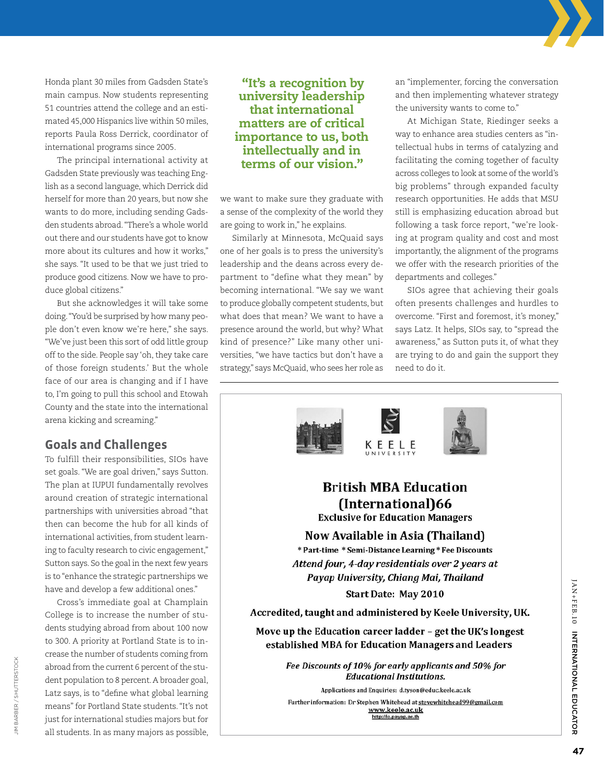Honda plant 30 miles from Gadsden State's main campus. Now students representing 51 countries attend the college and an estimated 45,000 Hispanics live within 50 miles, reports Paula Ross Derrick, coordinator of international programs since 2005.

The principal international activity at Gadsden State previously was teaching English as a second language, which Derrick did herself for more than 20 years, but now she wants to do more, including sending Gadsden students abroad. "There's a whole world out there and our students have got to know more about its cultures and how it works," she says. "It used to be that we just tried to produce good citizens. Now we have to produce global citizens."

But she acknowledges it will take some doing. "You'd be surprised by how many people don't even know we're here," she says. "We've just been this sort of odd little group off to the side. People say 'oh, they take care of those foreign students.' But the whole face of our area is changing and if I have to, I'm going to pull this school and Etowah County and the state into the international arena kicking and screaming."

### **Goals and Challenges**

To fulfill their responsibilities, SIOs have set goals. "We are goal driven," says Sutton. The plan at IUPUI fundamentally revolves around creation of strategic international partnerships with universities abroad "that then can become the hub for all kinds of international activities, from student learning to faculty research to civic engagement," Sutton says. So the goal in the next few years is to "enhance the strategic partnerships we have and develop a few additional ones."

Cross's immediate goal at Champlain College is to increase the number of students studying abroad from about 100 now to 300. A priority at Portland State is to increase the number of students coming from abroad from the current 6 percent of the student population to 8 percent. A broader goal, Latz says, is to "define what global learning means" for Portland State students. "It's not just for international studies majors but for all students. In as many majors as possible,

#### "It's a recognition by university leadership that international matters are of critical importance to us, both intellectually and in terms of our vision."

we want to make sure they graduate with a sense of the complexity of the world they are going to work in," he explains.

Similarly at Minnesota, McQuaid says one of her goals is to press the university's leadership and the deans across every department to "define what they mean" by becoming international. "We say we want to produce globally competent students, but what does that mean? We want to have a presence around the world, but why? What kind of presence?" Like many other universities, "we have tactics but don't have a strategy," says McQuaid, who sees her role as an "implementer, forcing the conversation and then implementing whatever strategy the university wants to come to."

At Michigan State, Riedinger seeks a way to enhance area studies centers as "intellectual hubs in terms of catalyzing and facilitating the coming together of faculty across colleges to look at some of the world's big problems" through expanded faculty research opportunities. He adds that MSU still is emphasizing education abroad but following a task force report, "we're looking at program quality and cost and most importantly, the alignment of the programs we offer with the research priorities of the departments and colleges."

SIOs agree that achieving their goals often presents challenges and hurdles to overcome. "First and foremost, it's money," says Latz. It helps, SIOs say, to "spread the awareness," as Sutton puts it, of what they are trying to do and gain the support they need to do it.

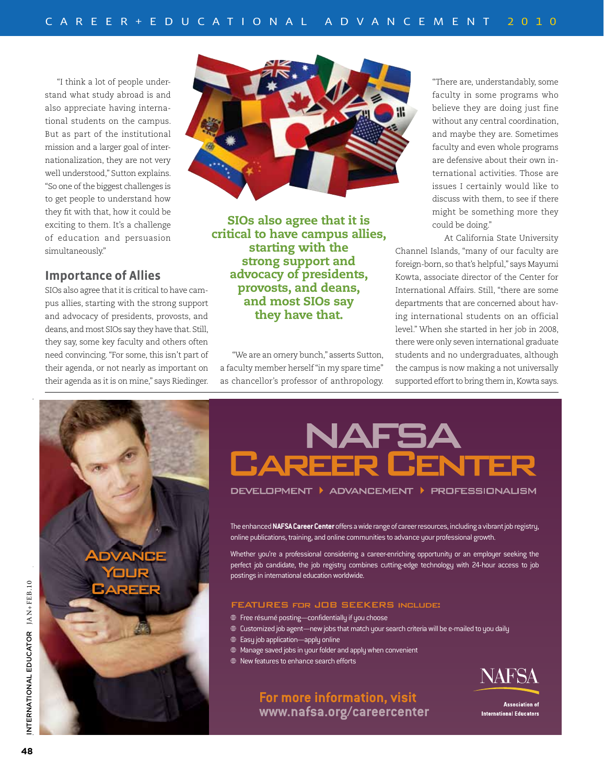"I think a lot of people understand what study abroad is and also appreciate having international students on the campus. But as part of the institutional mission and a larger goal of internationalization, they are not very well understood," Sutton explains. "So one of the biggest challenges is to get people to understand how they fit with that, how it could be exciting to them. It's a challenge of education and persuasion simultaneously."

#### **Importance of Allies**

SIOs also agree that it is critical to have campus allies, starting with the strong support and advocacy of presidents, provosts, and deans, and most SIOs say they have that. Still, they say, some key faculty and others often need convincing. "For some, this isn't part of their agenda, or not nearly as important on their agenda as it is on mine," says Riedinger.



SIOs also agree that it is critical to have campus allies, starting with the strong support and advocacy of presidents, provosts, and deans, and most SIOs say they have that.

"We are an ornery bunch," asserts Sutton, a faculty member herself "in my spare time" their agenda as it is on mine," says Riedinger. as chancellor's professor of anthropology. supported effort to bring them

"There are, understandably, some faculty in some programs who believe they are doing just fine without any central coordination, and maybe they are. Sometimes faculty and even whole programs are defensive about their own international activities. Those are issues I certainly would like to discuss with them, to see if there might be something more they could be doing."

At California State University Channel Islands, "many of our faculty are foreign-born, so that's helpful," says Mayumi Kowta, associate director of the Center for International Affairs. Still, "there are some departments that are concerned about having international students on an official level." When she started in her job in 2008, there were only seven international graduate students and no undergraduates, although the campus is now making a not universally supported effort to bring them in, Kowta says.



# NAFSA **CAREER CENTE**

DEVELOPMENT ▶ ADVANCEMENT ▶ PROFESS|ONAL|SM

The enhanced **NAFSA Career Center** offers a wide range of career resources, including a vibrant job registry, online publications, training, and online communities to advance your professional growth.

Whether you're a professional considering a career-enriching opportunity or an employer seeking the perfect job candidate, the job registry combines cutting-edge technology with 24-hour access to job postings in international education worldwide.

#### FEATURES for JOB SEEKERS include:

**For more information, visit www.nafsa.org/careercenter**

- Freerésumé posting—confidentially if you choose
- Customized job agent—new jobs that match your search criteria will be e-mailed to you daily
- Easy job application—apply online
- Manage saved jobs in your folder and apply when convenient
- New features to enhance search efforts



**Association of International Educators**